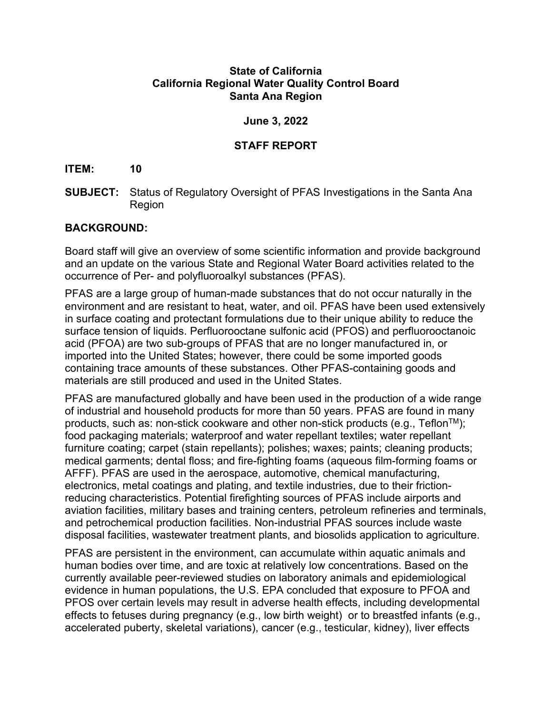#### **State of California California Regional Water Quality Control Board Santa Ana Region**

### **June 3, 2022**

## **STAFF REPORT**

#### **ITEM: 10**

**SUBJECT:** Status of Regulatory Oversight of PFAS Investigations in the Santa Ana Region

### **BACKGROUND:**

Board staff will give an overview of some scientific information and provide background and an update on the various State and Regional Water Board activities related to the occurrence of Per- and polyfluoroalkyl substances (PFAS).

PFAS are a large group of human-made substances that do not occur naturally in the environment and are resistant to heat, water, and oil. PFAS have been used extensively in surface coating and protectant formulations due to their unique ability to reduce the surface tension of liquids. Perfluorooctane sulfonic acid (PFOS) and perfluorooctanoic acid (PFOA) are two sub-groups of PFAS that are no longer manufactured in, or imported into the United States; however, there could be some imported goods containing trace amounts of these substances. Other PFAS-containing goods and materials are still produced and used in the United States.

PFAS are manufactured globally and have been used in the production of a wide range of industrial and household products for more than 50 years. PFAS are found in many products, such as: non-stick cookware and other non-stick products (e.g., Teflon<sup>TM</sup>); food packaging materials; waterproof and water repellant textiles; water repellant furniture coating; carpet (stain repellants); polishes; waxes; paints; cleaning products; medical garments; dental floss; and fire-fighting foams (aqueous film-forming foams or AFFF). PFAS are used in the aerospace, automotive, chemical manufacturing, electronics, metal coatings and plating, and textile industries, due to their frictionreducing characteristics. Potential firefighting sources of PFAS include airports and aviation facilities, military bases and training centers, petroleum refineries and terminals, and petrochemical production facilities. Non-industrial PFAS sources include waste disposal facilities, wastewater treatment plants, and biosolids application to agriculture.

PFAS are persistent in the environment, can accumulate within aquatic animals and human bodies over time, and are toxic at relatively low concentrations. Based on the currently available peer-reviewed studies on laboratory animals and epidemiological evidence in human populations, the U.S. EPA concluded that exposure to PFOA and PFOS over certain levels may result in adverse health effects, including developmental effects to fetuses during pregnancy (e.g., low birth weight) or to breastfed infants (e.g., accelerated puberty, skeletal variations), cancer (e.g., testicular, kidney), liver effects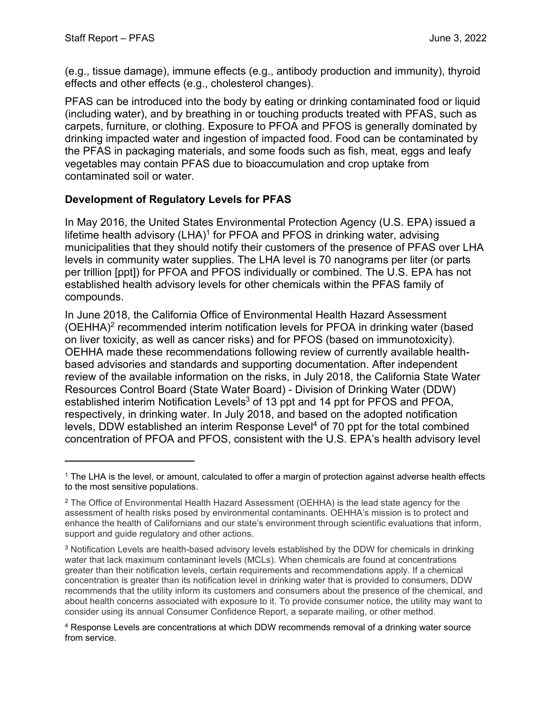(e.g., tissue damage), immune effects (e.g., antibody production and immunity), thyroid effects and other effects (e.g., cholesterol changes).

PFAS can be introduced into the body by eating or drinking contaminated food or liquid (including water), and by breathing in or touching products treated with PFAS, such as carpets, furniture, or clothing. Exposure to PFOA and PFOS is generally dominated by drinking impacted water and ingestion of impacted food. Food can be contaminated by the PFAS in packaging materials, and some foods such as fish, meat, eggs and leafy vegetables may contain PFAS due to bioaccumulation and crop uptake from contaminated soil or water.

# **Development of Regulatory Levels for PFAS**

In May 2016, the United States Environmental Protection Agency (U.S. EPA) issued a lifetime health advisory (LHA) $^1$  $^1$  for PFOA and PFOS in drinking water, advising municipalities that they should notify their customers of the presence of PFAS over LHA levels in community water supplies. The LHA level is 70 nanograms per liter (or parts per trillion [ppt]) for PFOA and PFOS individually or combined. The U.S. EPA has not established health advisory levels for other chemicals within the PFAS family of compounds.

In June 2018, the California Office of Environmental Health Hazard Assessment (OEHHA)[2](#page-1-1) recommended interim notification levels for PFOA in drinking water (based on liver toxicity, as well as cancer risks) and for PFOS (based on immunotoxicity). OEHHA made these recommendations following review of currently available healthbased advisories and standards and supporting documentation. After independent review of the available information on the risks, in July 2018, the California State Water Resources Control Board (State Water Board) - Division of Drinking Water (DDW) established interim Notification Levels<sup>[3](#page-1-2)</sup> of 13 ppt and 14 ppt for PFOS and PFOA, respectively, in drinking water. In July 2018, and based on the adopted notification levels, DDW established an interim Response Level<sup>[4](#page-1-3)</sup> of 70 ppt for the total combined concentration of PFOA and PFOS, consistent with the U.S. EPA's health advisory level

<span id="page-1-0"></span><sup>1</sup> The LHA is the level, or amount, calculated to offer a margin of protection against adverse health effects to the most sensitive populations.

<span id="page-1-1"></span><sup>2</sup> The Office of Environmental Health Hazard Assessment (OEHHA) is the lead state agency for the assessment of health risks posed by environmental contaminants. OEHHA's mission is to protect and enhance the health of Californians and our state's environment through scientific evaluations that inform, support and guide regulatory and other actions.

<span id="page-1-2"></span><sup>3</sup> Notification Levels are health-based advisory levels established by the DDW for chemicals in drinking water that lack maximum contaminant levels (MCLs). When chemicals are found at concentrations greater than their notification levels, certain requirements and recommendations apply. If a chemical concentration is greater than its notification level in drinking water that is provided to consumers, DDW recommends that the utility inform its customers and consumers about the presence of the chemical, and about health concerns associated with exposure to it. To provide consumer notice, the utility may want to consider using its annual Consumer Confidence Report, a separate mailing, or other method.

<span id="page-1-3"></span><sup>4</sup> Response Levels are concentrations at which DDW recommends removal of a drinking water source from service.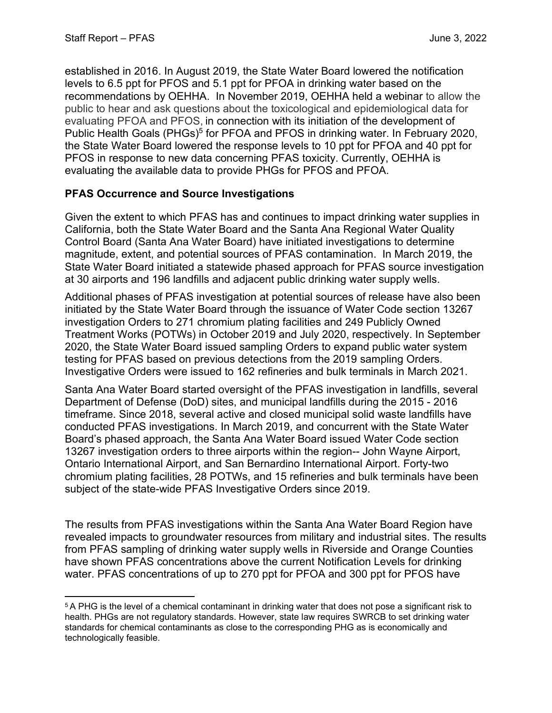established in 2016. In August 2019, the State Water Board lowered the notification levels to 6.5 ppt for PFOS and 5.1 ppt for PFOA in drinking water based on the recommendations by OEHHA. In November 2019, OEHHA held a webinar to allow the public to hear and ask questions about the toxicological and epidemiological data for evaluating PFOA and PFOS, in connection with its initiation of the development of Public Health Goals (PHGs)<sup>[5](#page-2-0)</sup> for PFOA and PFOS in drinking water. In February 2020, the State Water Board lowered the response levels to 10 ppt for PFOA and 40 ppt for PFOS in response to new data concerning PFAS toxicity. Currently, OEHHA is evaluating the available data to provide PHGs for PFOS and PFOA.

## **PFAS Occurrence and Source Investigations**

Given the extent to which PFAS has and continues to impact drinking water supplies in California, both the State Water Board and the Santa Ana Regional Water Quality Control Board (Santa Ana Water Board) have initiated investigations to determine magnitude, extent, and potential sources of PFAS contamination. In March 2019, the State Water Board initiated a statewide phased approach for PFAS source investigation at 30 airports and 196 landfills and adjacent public drinking water supply wells.

Additional phases of PFAS investigation at potential sources of release have also been initiated by the State Water Board through the issuance of Water Code section 13267 investigation Orders to 271 chromium plating facilities and 249 Publicly Owned Treatment Works (POTWs) in October 2019 and July 2020, respectively. In September 2020, the State Water Board issued sampling Orders to expand public water system testing for PFAS based on previous detections from the 2019 sampling Orders. Investigative Orders were issued to 162 refineries and bulk terminals in March 2021.

Santa Ana Water Board started oversight of the PFAS investigation in landfills, several Department of Defense (DoD) sites, and municipal landfills during the 2015 - 2016 timeframe. Since 2018, several active and closed municipal solid waste landfills have conducted PFAS investigations. In March 2019, and concurrent with the State Water Board's phased approach, the Santa Ana Water Board issued Water Code section 13267 investigation orders to three airports within the region-- John Wayne Airport, Ontario International Airport, and San Bernardino International Airport. Forty-two chromium plating facilities, 28 POTWs, and 15 refineries and bulk terminals have been subject of the state-wide PFAS Investigative Orders since 2019.

The results from PFAS investigations within the Santa Ana Water Board Region have revealed impacts to groundwater resources from military and industrial sites. The results from PFAS sampling of drinking water supply wells in Riverside and Orange Counties have shown PFAS concentrations above the current Notification Levels for drinking water. PFAS concentrations of up to 270 ppt for PFOA and 300 ppt for PFOS have

<span id="page-2-0"></span><sup>5</sup> A PHG is the level of a chemical contaminant in drinking water that does not pose a significant risk to health. PHGs are not regulatory standards. However, state law requires SWRCB to set drinking water standards for chemical contaminants as close to the corresponding PHG as is economically and technologically feasible.